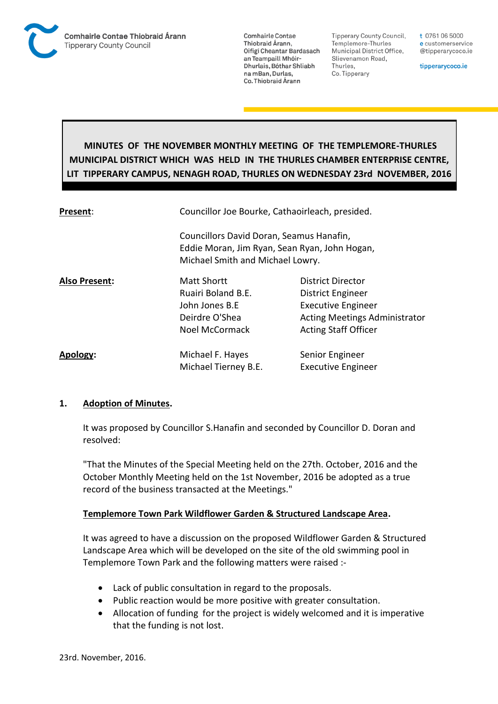

**Tipperary County Council,** Templemore-Thurles Municipal District Office, Slievenamon Road, Thurles, Co. Tipperary

t 0761 06 5000 e customerservice @tipperarycoco.ie

tipperarycoco.ie

# **MINUTES OF THE NOVEMBER MONTHLY MEETING OF THE TEMPLEMORE-THURLES MUNICIPAL DISTRICT WHICH WAS HELD IN THE THURLES CHAMBER ENTERPRISE CENTRE, LIT TIPPERARY CAMPUS, NENAGH ROAD, THURLES ON WEDNESDAY 23rd NOVEMBER, 2016**

| Present:             | Councillor Joe Bourke, Cathaoirleach, presided.                                                                               |                                                                                                                                                   |  |
|----------------------|-------------------------------------------------------------------------------------------------------------------------------|---------------------------------------------------------------------------------------------------------------------------------------------------|--|
|                      | Councillors David Doran, Seamus Hanafin,<br>Eddie Moran, Jim Ryan, Sean Ryan, John Hogan,<br>Michael Smith and Michael Lowry. |                                                                                                                                                   |  |
| <b>Also Present:</b> | <b>Matt Shortt</b><br>Ruairi Boland B.E.<br>John Jones B.E<br>Deirdre O'Shea<br><b>Noel McCormack</b>                         | <b>District Director</b><br>District Engineer<br><b>Executive Engineer</b><br><b>Acting Meetings Administrator</b><br><b>Acting Staff Officer</b> |  |
| Apology:             | Michael F. Hayes<br>Michael Tierney B.E.                                                                                      | Senior Engineer<br><b>Executive Engineer</b>                                                                                                      |  |

## **1. Adoption of Minutes.**

It was proposed by Councillor S.Hanafin and seconded by Councillor D. Doran and resolved:

"That the Minutes of the Special Meeting held on the 27th. October, 2016 and the October Monthly Meeting held on the 1st November, 2016 be adopted as a true record of the business transacted at the Meetings."

## **Templemore Town Park Wildflower Garden & Structured Landscape Area.**

It was agreed to have a discussion on the proposed Wildflower Garden & Structured Landscape Area which will be developed on the site of the old swimming pool in Templemore Town Park and the following matters were raised :-

- Lack of public consultation in regard to the proposals.
- Public reaction would be more positive with greater consultation.
- Allocation of funding for the project is widely welcomed and it is imperative that the funding is not lost.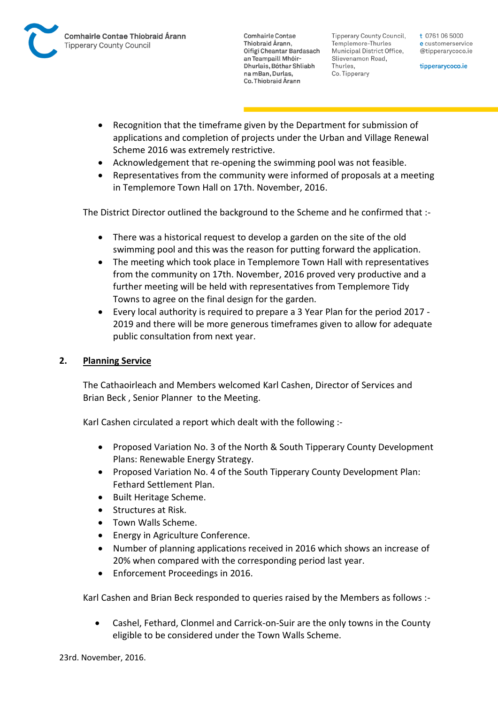

**Tipperary County Council,** Templemore-Thurles Municipal District Office, Slievenamon Road, Thurles, Co. Tipperary

t 0761 06 5000 e customerservice @tipperarycoco.ie

tipperarycoco.ie

- Recognition that the timeframe given by the Department for submission of applications and completion of projects under the Urban and Village Renewal Scheme 2016 was extremely restrictive.
- Acknowledgement that re-opening the swimming pool was not feasible.
- Representatives from the community were informed of proposals at a meeting in Templemore Town Hall on 17th. November, 2016.

The District Director outlined the background to the Scheme and he confirmed that :-

- There was a historical request to develop a garden on the site of the old swimming pool and this was the reason for putting forward the application.
- The meeting which took place in Templemore Town Hall with representatives from the community on 17th. November, 2016 proved very productive and a further meeting will be held with representatives from Templemore Tidy Towns to agree on the final design for the garden.
- Every local authority is required to prepare a 3 Year Plan for the period 2017 2019 and there will be more generous timeframes given to allow for adequate public consultation from next year.

## **2. Planning Service**

The Cathaoirleach and Members welcomed Karl Cashen, Director of Services and Brian Beck , Senior Planner to the Meeting.

Karl Cashen circulated a report which dealt with the following :-

- Proposed Variation No. 3 of the North & South Tipperary County Development Plans: Renewable Energy Strategy.
- Proposed Variation No. 4 of the South Tipperary County Development Plan: Fethard Settlement Plan.
- Built Heritage Scheme.
- Structures at Risk.
- Town Walls Scheme.
- Energy in Agriculture Conference.
- Number of planning applications received in 2016 which shows an increase of 20% when compared with the corresponding period last year.
- Enforcement Proceedings in 2016.

Karl Cashen and Brian Beck responded to queries raised by the Members as follows :-

 Cashel, Fethard, Clonmel and Carrick-on-Suir are the only towns in the County eligible to be considered under the Town Walls Scheme.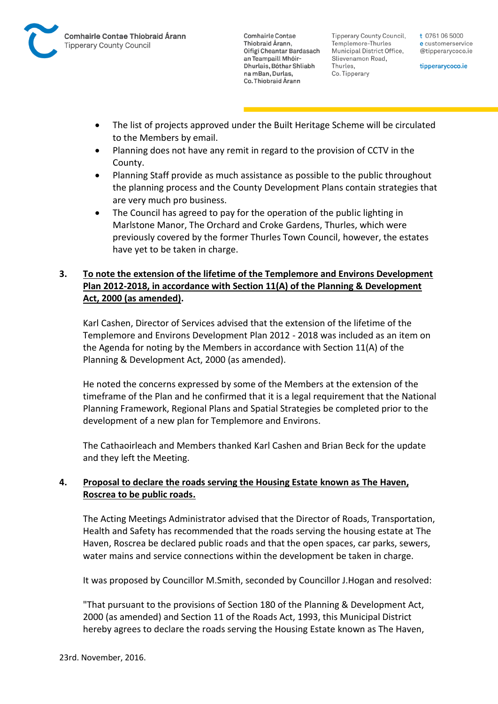

Tipperary County Council. Templemore-Thurles Municipal District Office, Slievenamon Road, Thurles, Co. Tipperary

t 0761 06 5000 e customerservice @tipperarycoco.ie

tipperarycoco.ie

- The list of projects approved under the Built Heritage Scheme will be circulated to the Members by email.
- Planning does not have any remit in regard to the provision of CCTV in the County.
- Planning Staff provide as much assistance as possible to the public throughout the planning process and the County Development Plans contain strategies that are very much pro business.
- The Council has agreed to pay for the operation of the public lighting in Marlstone Manor, The Orchard and Croke Gardens, Thurles, which were previously covered by the former Thurles Town Council, however, the estates have yet to be taken in charge.

# **3. To note the extension of the lifetime of the Templemore and Environs Development Plan 2012-2018, in accordance with Section 11(A) of the Planning & Development Act, 2000 (as amended).**

Karl Cashen, Director of Services advised that the extension of the lifetime of the Templemore and Environs Development Plan 2012 - 2018 was included as an item on the Agenda for noting by the Members in accordance with Section 11(A) of the Planning & Development Act, 2000 (as amended).

He noted the concerns expressed by some of the Members at the extension of the timeframe of the Plan and he confirmed that it is a legal requirement that the National Planning Framework, Regional Plans and Spatial Strategies be completed prior to the development of a new plan for Templemore and Environs.

The Cathaoirleach and Members thanked Karl Cashen and Brian Beck for the update and they left the Meeting.

# **4. Proposal to declare the roads serving the Housing Estate known as The Haven, Roscrea to be public roads.**

The Acting Meetings Administrator advised that the Director of Roads, Transportation, Health and Safety has recommended that the roads serving the housing estate at The Haven, Roscrea be declared public roads and that the open spaces, car parks, sewers, water mains and service connections within the development be taken in charge.

It was proposed by Councillor M.Smith, seconded by Councillor J.Hogan and resolved:

"That pursuant to the provisions of Section 180 of the Planning & Development Act, 2000 (as amended) and Section 11 of the Roads Act, 1993, this Municipal District hereby agrees to declare the roads serving the Housing Estate known as The Haven,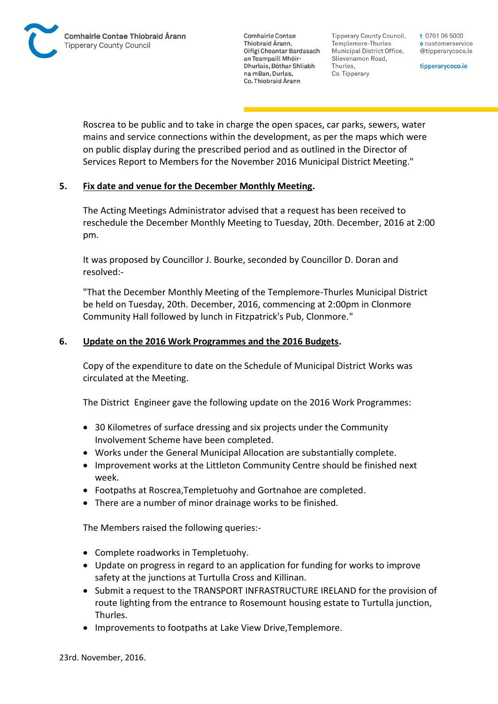Tipperary County Council. Templemore-Thurles Municipal District Office, Slievenamon Road, Thurles, Co. Tipperary

t 0761 06 5000 e customerservice @tipperarycoco.ie

tipperarycoco.ie

Roscrea to be public and to take in charge the open spaces, car parks, sewers, water mains and service connections within the development, as per the maps which were on public display during the prescribed period and as outlined in the Director of Services Report to Members for the November 2016 Municipal District Meeting."

# **5. Fix date and venue for the December Monthly Meeting.**

The Acting Meetings Administrator advised that a request has been received to reschedule the December Monthly Meeting to Tuesday, 20th. December, 2016 at 2:00 pm.

It was proposed by Councillor J. Bourke, seconded by Councillor D. Doran and resolved:-

"That the December Monthly Meeting of the Templemore-Thurles Municipal District be held on Tuesday, 20th. December, 2016, commencing at 2:00pm in Clonmore Community Hall followed by lunch in Fitzpatrick's Pub, Clonmore."

# **6. Update on the 2016 Work Programmes and the 2016 Budgets.**

Copy of the expenditure to date on the Schedule of Municipal District Works was circulated at the Meeting.

The District Engineer gave the following update on the 2016 Work Programmes:

- 30 Kilometres of surface dressing and six projects under the Community Involvement Scheme have been completed.
- Works under the General Municipal Allocation are substantially complete.
- Improvement works at the Littleton Community Centre should be finished next week.
- Footpaths at Roscrea,Templetuohy and Gortnahoe are completed.
- There are a number of minor drainage works to be finished.

The Members raised the following queries:-

- Complete roadworks in Templetuohy.
- Update on progress in regard to an application for funding for works to improve safety at the junctions at Turtulla Cross and Killinan.
- Submit a request to the TRANSPORT INFRASTRUCTURE IRELAND for the provision of route lighting from the entrance to Rosemount housing estate to Turtulla junction, Thurles.
- Improvements to footpaths at Lake View Drive, Templemore.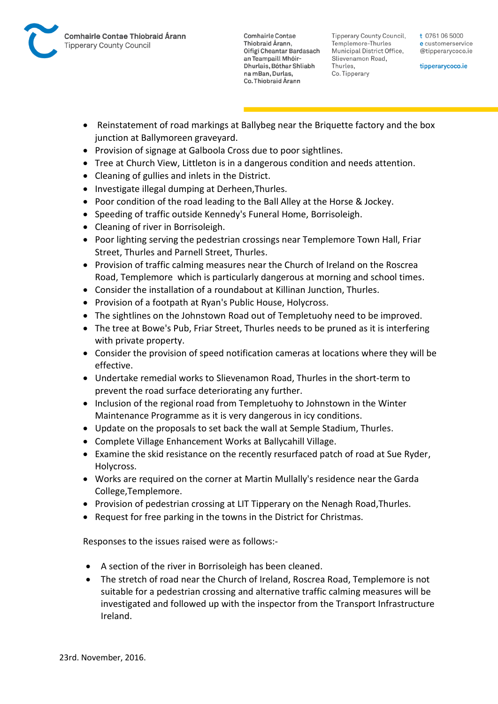

Tipperary County Council. Templemore-Thurles Municipal District Office, Slievenamon Road, Thurles, Co. Tipperary

t 0761 06 5000 e customerservice @tipperarycoco.ie

tipperarycoco.ie

- Reinstatement of road markings at Ballybeg near the Briquette factory and the box junction at Ballymoreen graveyard.
- Provision of signage at Galboola Cross due to poor sightlines.
- Tree at Church View, Littleton is in a dangerous condition and needs attention.
- Cleaning of gullies and inlets in the District.
- Investigate illegal dumping at Derheen, Thurles.
- Poor condition of the road leading to the Ball Alley at the Horse & Jockey.
- Speeding of traffic outside Kennedy's Funeral Home, Borrisoleigh.
- Cleaning of river in Borrisoleigh.
- Poor lighting serving the pedestrian crossings near Templemore Town Hall, Friar Street, Thurles and Parnell Street, Thurles.
- Provision of traffic calming measures near the Church of Ireland on the Roscrea Road, Templemore which is particularly dangerous at morning and school times.
- Consider the installation of a roundabout at Killinan Junction, Thurles.
- Provision of a footpath at Ryan's Public House, Holycross.
- The sightlines on the Johnstown Road out of Templetuohy need to be improved.
- The tree at Bowe's Pub, Friar Street, Thurles needs to be pruned as it is interfering with private property.
- Consider the provision of speed notification cameras at locations where they will be effective.
- Undertake remedial works to Slievenamon Road, Thurles in the short-term to prevent the road surface deteriorating any further.
- Inclusion of the regional road from Templetuohy to Johnstown in the Winter Maintenance Programme as it is very dangerous in icy conditions.
- Update on the proposals to set back the wall at Semple Stadium, Thurles.
- Complete Village Enhancement Works at Ballycahill Village.
- Examine the skid resistance on the recently resurfaced patch of road at Sue Ryder, Holycross.
- Works are required on the corner at Martin Mullally's residence near the Garda College,Templemore.
- Provision of pedestrian crossing at LIT Tipperary on the Nenagh Road, Thurles.
- Request for free parking in the towns in the District for Christmas.

Responses to the issues raised were as follows:-

- A section of the river in Borrisoleigh has been cleaned.
- The stretch of road near the Church of Ireland, Roscrea Road, Templemore is not suitable for a pedestrian crossing and alternative traffic calming measures will be investigated and followed up with the inspector from the Transport Infrastructure Ireland.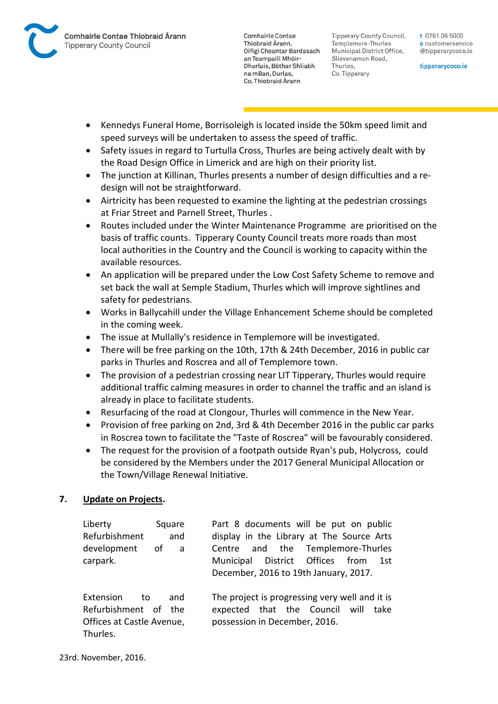

Tipperary County Council. Templemore-Thurles Municipal District Office, Slievenamon Road, Thurles, Co. Tipperary

t 0761 06 5000 e customerservice @tipperarycoco.ie

tipperarycoco.ie

- Kennedys Funeral Home, Borrisoleigh is located inside the 50km speed limit and speed surveys will be undertaken to assess the speed of traffic.
- Safety issues in regard to Turtulla Cross, Thurles are being actively dealt with by the Road Design Office in Limerick and are high on their priority list.
- The junction at Killinan, Thurles presents a number of design difficulties and a redesign will not be straightforward.
- Airtricity has been requested to examine the lighting at the pedestrian crossings at Friar Street and Parnell Street, Thurles .
- Routes included under the Winter Maintenance Programme are prioritised on the basis of traffic counts. Tipperary County Council treats more roads than most local authorities in the Country and the Council is working to capacity within the available resources.
- An application will be prepared under the Low Cost Safety Scheme to remove and set back the wall at Semple Stadium, Thurles which will improve sightlines and safety for pedestrians.
- Works in Ballycahill under the Village Enhancement Scheme should be completed in the coming week.
- The issue at Mullally's residence in Templemore will be investigated.
- There will be free parking on the 10th, 17th & 24th December, 2016 in public car parks in Thurles and Roscrea and all of Templemore town.
- The provision of a pedestrian crossing near LIT Tipperary, Thurles would require additional traffic calming measures in order to channel the traffic and an island is already in place to facilitate students.
- Resurfacing of the road at Clongour, Thurles will commence in the New Year.
- Provision of free parking on 2nd, 3rd & 4th December 2016 in the public car parks in Roscrea town to facilitate the "Taste of Roscrea" will be favourably considered.
- The request for the provision of a footpath outside Ryan's pub, Holycross, could be considered by the Members under the 2017 General Municipal Allocation or the Town/Village Renewal Initiative.

# **7. Update on Projects.**

| Liberty<br>Refurbishment                                                          | Square<br>and | Part 8 documents will be put on public<br>display in the Library at The Source Arts                                       |
|-----------------------------------------------------------------------------------|---------------|---------------------------------------------------------------------------------------------------------------------------|
| development<br>carpark.                                                           | οf<br>a a     | Centre and the Templemore-Thurles<br>Municipal District Offices from<br>1st<br>December, 2016 to 19th January, 2017.      |
| Extension<br>to.<br>Refurbishment of the<br>Offices at Castle Avenue,<br>Thurles. | and           | The project is progressing very well and it is<br>expected that the Council will<br>take<br>possession in December, 2016. |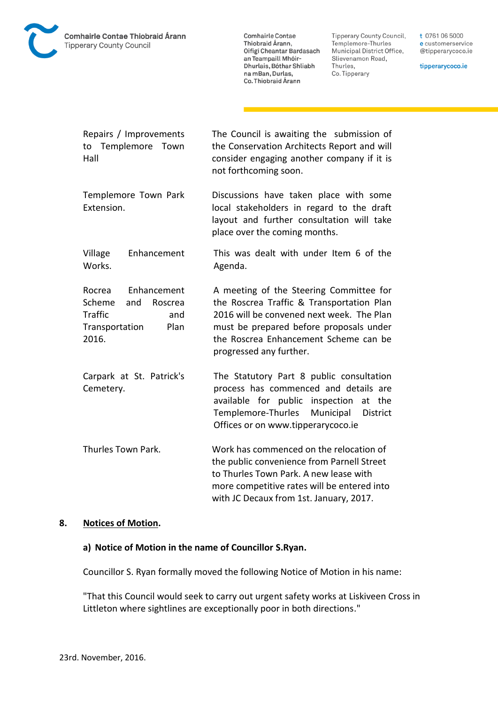

**Tipperary County Council,** Templemore-Thurles Municipal District Office, Slievenamon Road, Thurles, Co. Tipperary

t 0761 06 5000 e customerservice @tipperarycoco.ie

tipperarycoco.ie

| Repairs / Improvements<br>to Templemore Town<br>Hall                                                          | The Council is awaiting the submission of<br>the Conservation Architects Report and will<br>consider engaging another company if it is<br>not forthcoming soon.                                                                                  |
|---------------------------------------------------------------------------------------------------------------|--------------------------------------------------------------------------------------------------------------------------------------------------------------------------------------------------------------------------------------------------|
| Templemore Town Park<br>Extension.                                                                            | Discussions have taken place with some<br>local stakeholders in regard to the draft<br>layout and further consultation will take<br>place over the coming months.                                                                                |
| Village<br>Enhancement<br>Works.                                                                              | This was dealt with under Item 6 of the<br>Agenda.                                                                                                                                                                                               |
| Enhancement<br>Rocrea<br>Scheme<br>Roscrea<br>and<br><b>Traffic</b><br>and<br>Transportation<br>Plan<br>2016. | A meeting of the Steering Committee for<br>the Roscrea Traffic & Transportation Plan<br>2016 will be convened next week. The Plan<br>must be prepared before proposals under<br>the Roscrea Enhancement Scheme can be<br>progressed any further. |
| Carpark at St. Patrick's<br>Cemetery.                                                                         | The Statutory Part 8 public consultation<br>process has commenced and details are<br>available for public inspection<br>the<br>at<br>Templemore-Thurles<br>Municipal<br><b>District</b><br>Offices or on www.tipperarycoco.ie                    |
| Thurles Town Park.                                                                                            | Work has commenced on the relocation of<br>the public convenience from Parnell Street<br>to Thurles Town Park. A new lease with<br>more competitive rates will be entered into<br>with JC Decaux from 1st. January, 2017.                        |

#### **8. Notices of Motion.**

#### **a) Notice of Motion in the name of Councillor S.Ryan.**

Councillor S. Ryan formally moved the following Notice of Motion in his name:

"That this Council would seek to carry out urgent safety works at Liskiveen Cross in Littleton where sightlines are exceptionally poor in both directions."